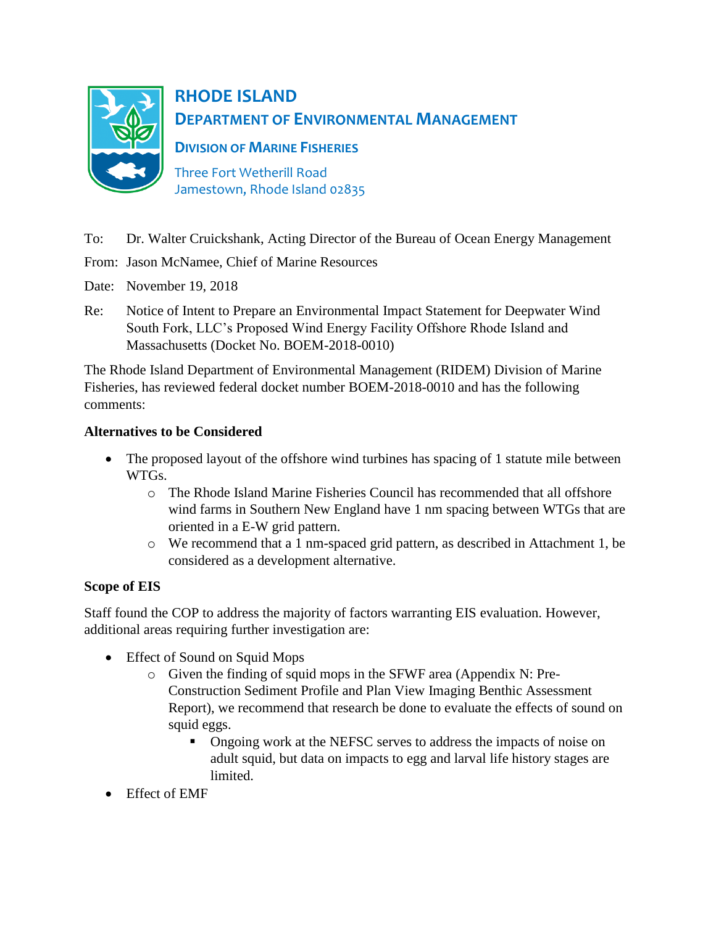

# **RHODE ISLAND DEPARTMENT OF ENVIRONMENTAL MANAGEMENT**

**DIVISION OF MARINE FISHERIES**

Three Fort Wetherill Road Jamestown, Rhode Island 02835

- To: Dr. Walter Cruickshank, Acting Director of the Bureau of Ocean Energy Management
- From: Jason McNamee, Chief of Marine Resources
- Date: November 19, 2018
- Re: Notice of Intent to Prepare an Environmental Impact Statement for Deepwater Wind South Fork, LLC's Proposed Wind Energy Facility Offshore Rhode Island and Massachusetts (Docket No. BOEM-2018-0010)

The Rhode Island Department of Environmental Management (RIDEM) Division of Marine Fisheries, has reviewed federal docket number BOEM-2018-0010 and has the following comments:

## **Alternatives to be Considered**

- The proposed layout of the offshore wind turbines has spacing of 1 statute mile between WTGs.
	- o The Rhode Island Marine Fisheries Council has recommended that all offshore wind farms in Southern New England have 1 nm spacing between WTGs that are oriented in a E-W grid pattern.
	- o We recommend that a 1 nm-spaced grid pattern, as described in Attachment 1, be considered as a development alternative.

## **Scope of EIS**

Staff found the COP to address the majority of factors warranting EIS evaluation. However, additional areas requiring further investigation are:

- Effect of Sound on Squid Mops
	- o Given the finding of squid mops in the SFWF area (Appendix N: Pre-Construction Sediment Profile and Plan View Imaging Benthic Assessment Report), we recommend that research be done to evaluate the effects of sound on squid eggs.
		- **•** Ongoing work at the NEFSC serves to address the impacts of noise on adult squid, but data on impacts to egg and larval life history stages are limited.
- Effect of EMF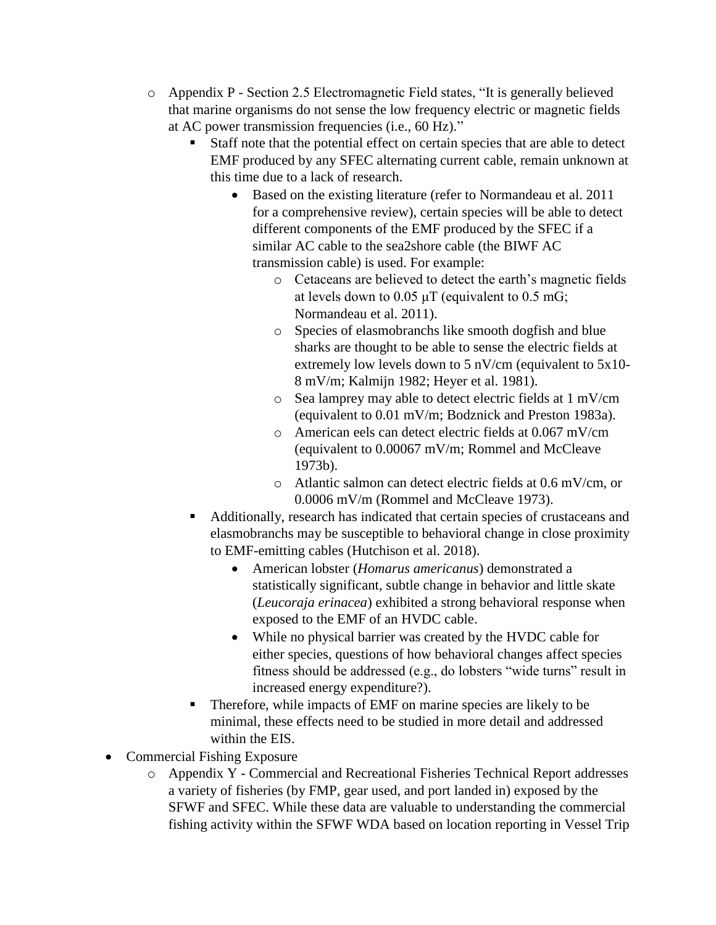- o Appendix P Section 2.5 Electromagnetic Field states, "It is generally believed that marine organisms do not sense the low frequency electric or magnetic fields at AC power transmission frequencies (i.e., 60 Hz)."
	- Staff note that the potential effect on certain species that are able to detect EMF produced by any SFEC alternating current cable, remain unknown at this time due to a lack of research.
		- Based on the existing literature (refer to Normandeau et al. 2011) for a comprehensive review), certain species will be able to detect different components of the EMF produced by the SFEC if a similar AC cable to the sea2shore cable (the BIWF AC transmission cable) is used. For example:
			- o Cetaceans are believed to detect the earth's magnetic fields at levels down to  $0.05 \mu T$  (equivalent to  $0.5 \text{ mG}$ ; Normandeau et al. 2011).
			- o Species of elasmobranchs like smooth dogfish and blue sharks are thought to be able to sense the electric fields at extremely low levels down to 5 nV/cm (equivalent to 5x10-8 mV/m; Kalmijn 1982; Heyer et al. 1981).
			- o Sea lamprey may able to detect electric fields at 1 mV/cm (equivalent to 0.01 mV/m; Bodznick and Preston 1983a).
			- o American eels can detect electric fields at 0.067 mV/cm (equivalent to 0.00067 mV/m; Rommel and McCleave 1973b).
			- o Atlantic salmon can detect electric fields at 0.6 mV/cm, or 0.0006 mV/m (Rommel and McCleave 1973).
	- Additionally, research has indicated that certain species of crustaceans and elasmobranchs may be susceptible to behavioral change in close proximity to EMF-emitting cables (Hutchison et al. 2018).
		- American lobster (*Homarus americanus*) demonstrated a statistically significant, subtle change in behavior and little skate (*Leucoraja erinacea*) exhibited a strong behavioral response when exposed to the EMF of an HVDC cable.
		- While no physical barrier was created by the HVDC cable for either species, questions of how behavioral changes affect species fitness should be addressed (e.g., do lobsters "wide turns" result in increased energy expenditure?).
	- Therefore, while impacts of EMF on marine species are likely to be minimal, these effects need to be studied in more detail and addressed within the EIS.
- Commercial Fishing Exposure
	- o Appendix Y Commercial and Recreational Fisheries Technical Report addresses a variety of fisheries (by FMP, gear used, and port landed in) exposed by the SFWF and SFEC. While these data are valuable to understanding the commercial fishing activity within the SFWF WDA based on location reporting in Vessel Trip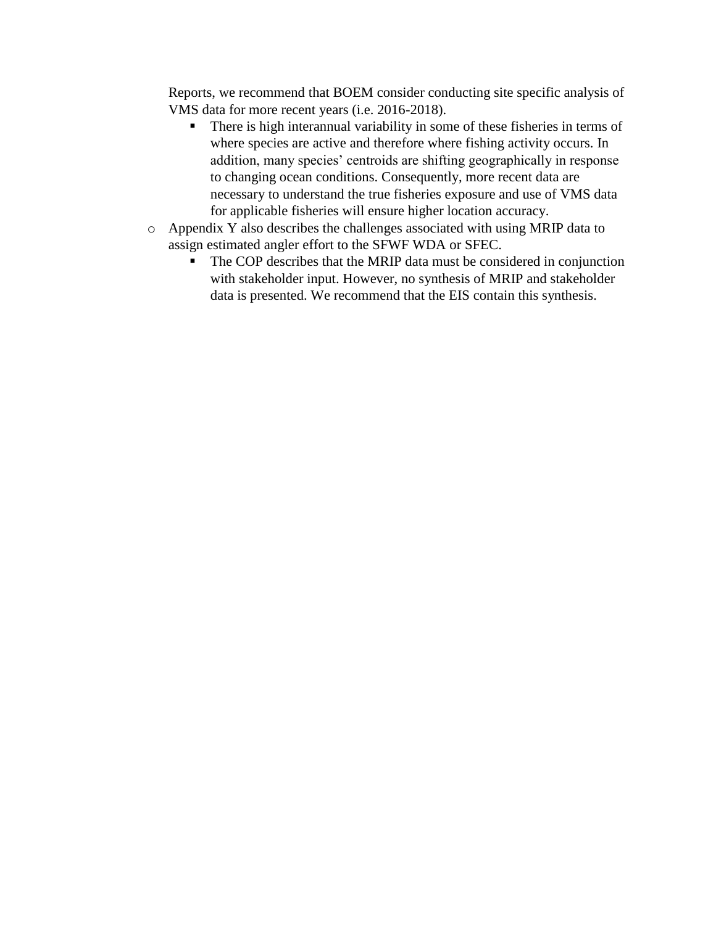Reports, we recommend that BOEM consider conducting site specific analysis of VMS data for more recent years (i.e. 2016-2018).

- **•** There is high interannual variability in some of these fisheries in terms of where species are active and therefore where fishing activity occurs. In addition, many species' centroids are shifting geographically in response to changing ocean conditions. Consequently, more recent data are necessary to understand the true fisheries exposure and use of VMS data for applicable fisheries will ensure higher location accuracy.
- o Appendix Y also describes the challenges associated with using MRIP data to assign estimated angler effort to the SFWF WDA or SFEC.
	- The COP describes that the MRIP data must be considered in conjunction with stakeholder input. However, no synthesis of MRIP and stakeholder data is presented. We recommend that the EIS contain this synthesis.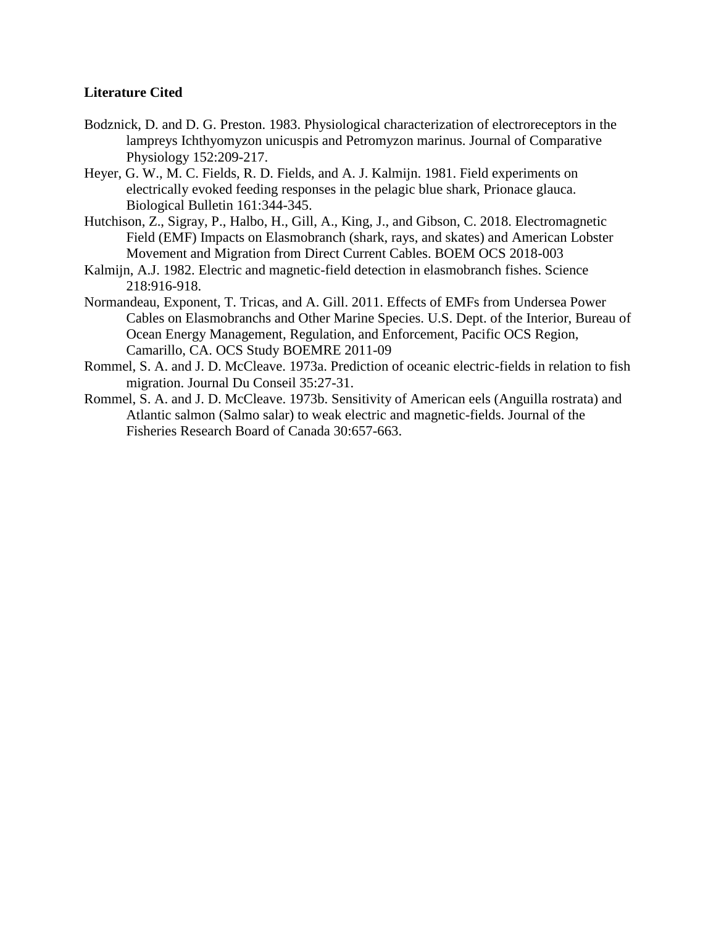## **Literature Cited**

- Bodznick, D. and D. G. Preston. 1983. Physiological characterization of electroreceptors in the lampreys Ichthyomyzon unicuspis and Petromyzon marinus. Journal of Comparative Physiology 152:209-217.
- Heyer, G. W., M. C. Fields, R. D. Fields, and A. J. Kalmijn. 1981. Field experiments on electrically evoked feeding responses in the pelagic blue shark, Prionace glauca. Biological Bulletin 161:344-345.
- Hutchison, Z., Sigray, P., Halbo, H., Gill, A., King, J., and Gibson, C. 2018. Electromagnetic Field (EMF) Impacts on Elasmobranch (shark, rays, and skates) and American Lobster Movement and Migration from Direct Current Cables. BOEM OCS 2018-003
- Kalmijn, A.J. 1982. Electric and magnetic-field detection in elasmobranch fishes. Science 218:916-918.
- Normandeau, Exponent, T. Tricas, and A. Gill. 2011. Effects of EMFs from Undersea Power Cables on Elasmobranchs and Other Marine Species. U.S. Dept. of the Interior, Bureau of Ocean Energy Management, Regulation, and Enforcement, Pacific OCS Region, Camarillo, CA. OCS Study BOEMRE 2011-09
- Rommel, S. A. and J. D. McCleave. 1973a. Prediction of oceanic electric-fields in relation to fish migration. Journal Du Conseil 35:27-31.
- Rommel, S. A. and J. D. McCleave. 1973b. Sensitivity of American eels (Anguilla rostrata) and Atlantic salmon (Salmo salar) to weak electric and magnetic-fields. Journal of the Fisheries Research Board of Canada 30:657-663.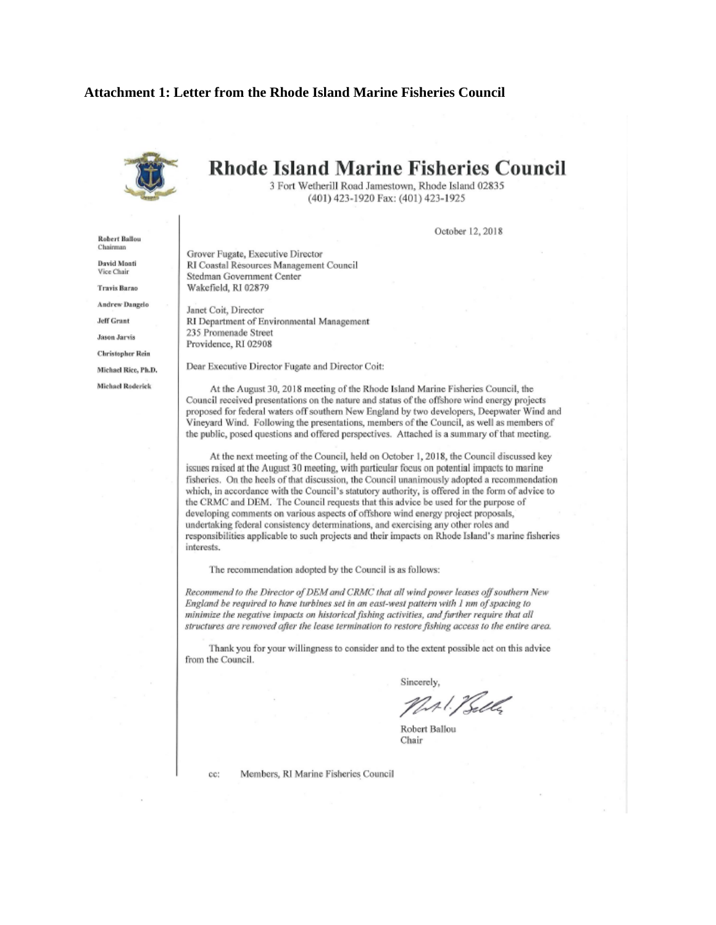## **Attachment 1: Letter from the Rhode Island Marine Fisheries Council**



**Robert Ballou** Chairman

**David Monti** Vice Chair

**Travis Barno** 

**Andrew Dangelo** 

**Jeff Grant** 

**Jason Jarvis** 

**Christopher Rein** 

Michael Rice, Ph.D.

Michael Roderick

# **Rhode Island Marine Fisheries Council**

3 Fort Wetherill Road Jamestown, Rhode Island 02835 (401) 423-1920 Fax: (401) 423-1925

October 12, 2018

Grover Fugate, Executive Director RI Coastal Resources Management Council Stedman Government Center Wakefield, RI 02879

Janet Coit, Director RI Department of Environmental Management 235 Promenade Street Providence, RI 02908

Dear Executive Director Fugate and Director Coit:

At the August 30, 2018 meeting of the Rhode Island Marine Fisheries Council, the Council received presentations on the nature and status of the offshore wind energy projects proposed for federal waters off southern New England by two developers, Deepwater Wind and Vineyard Wind. Following the presentations, members of the Council, as well as members of the public, posed questions and offered perspectives. Attached is a summary of that meeting.

At the next meeting of the Council, held on October 1, 2018, the Council discussed key issues raised at the August 30 meeting, with particular focus on potential impacts to marine fisheries. On the heels of that discussion, the Council unanimously adopted a recommendation which, in accordance with the Council's statutory authority, is offered in the form of advice to the CRMC and DEM. The Council requests that this advice be used for the purpose of developing comments on various aspects of offshore wind energy project proposals, undertaking federal consistency determinations, and exercising any other roles and responsibilities applicable to such projects and their impacts on Rhode Island's marine fisheries interests.

The recommendation adopted by the Council is as follows:

Recommend to the Director of DEM and CRMC that all wind power leases off southern New England be required to have turbines set in an east-west pattern with 1 nm of spacing to minimize the negative impacts on historical fishing activities, and further require that all structures are removed after the lease termination to restore fishing access to the entire area.

Thank you for your willingness to consider and to the extent possible act on this advice from the Council.

Sincerely.

NAIS Solly

Robert Ballou Chair

cc:

Members, RI Marine Fisheries Council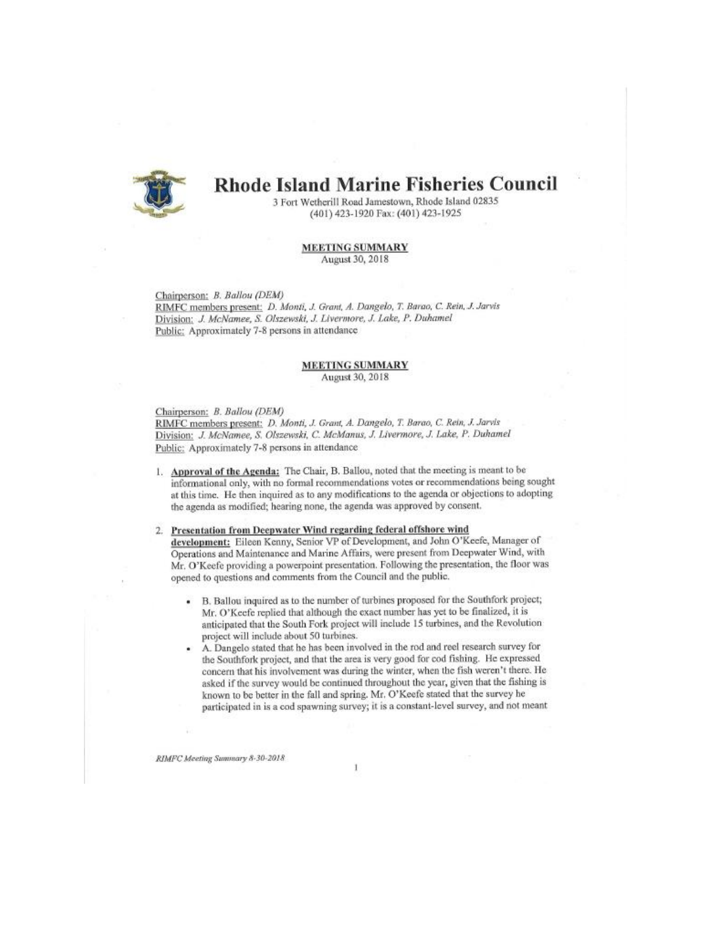

# **Rhode Island Marine Fisheries Council**

3 Fort Wetherill Road Jamestown, Rhode Island 02835 (401) 423-1920 Fax: (401) 423-1925

#### **MEETING SUMMARY** August 30, 2018

### Chairperson: B. Ballou (DEM)

RIMFC members present: D. Monti, J. Grant, A. Dangelo, T. Barao, C. Rein, J. Jarvis Division: J. McNamee, S. Olszewski, J. Livermore, J. Lake, P. Duhamel Public: Approximately 7-8 persons in attendance

### **MEETING SUMMARY** August 30, 2018

### Chairperson: B. Ballou (DEM)

RIMFC members present: D. Monti, J. Grant, A. Dangelo, T. Barao, C. Rein, J. Jarvis Division: J. McNamee, S. Olszewski, C. McManus, J. Livermore, J. Lake, P. Duhamel Public: Approximately 7-8 persons in attendance

1. Approval of the Agenda: The Chair, B. Ballou, noted that the meeting is meant to be informational only, with no formal recommendations votes or recommendations being sought at this time. He then inquired as to any modifications to the agenda or objections to adopting the agenda as modified; hearing none, the agenda was approved by consent.

#### 2. Presentation from Deepwater Wind regarding federal offshore wind

development: Eileen Kenny, Senior VP of Development, and John O'Keefe, Manager of Operations and Maintenance and Marine Affairs, were present from Deepwater Wind, with Mr. O'Keefe providing a powerpoint presentation. Following the presentation, the floor was opened to questions and comments from the Council and the public.

- B. Ballou inquired as to the number of turbines proposed for the Southfork project; Mr. O'Keefe replied that although the exact number has yet to be finalized, it is anticipated that the South Fork project will include 15 turbines, and the Revolution project will include about 50 turbines.
- A. Dangelo stated that he has been involved in the rod and reel research survey for ×, the Southfork project, and that the area is very good for cod fishing. He expressed concern that his involvement was during the winter, when the fish weren't there. He asked if the survey would be continued throughout the year, given that the fishing is known to be better in the fall and spring. Mr. O'Keefe stated that the survey he participated in is a cod spawning survey; it is a constant-level survey, and not meant

RIMFC Meeting Summary 8-30-2018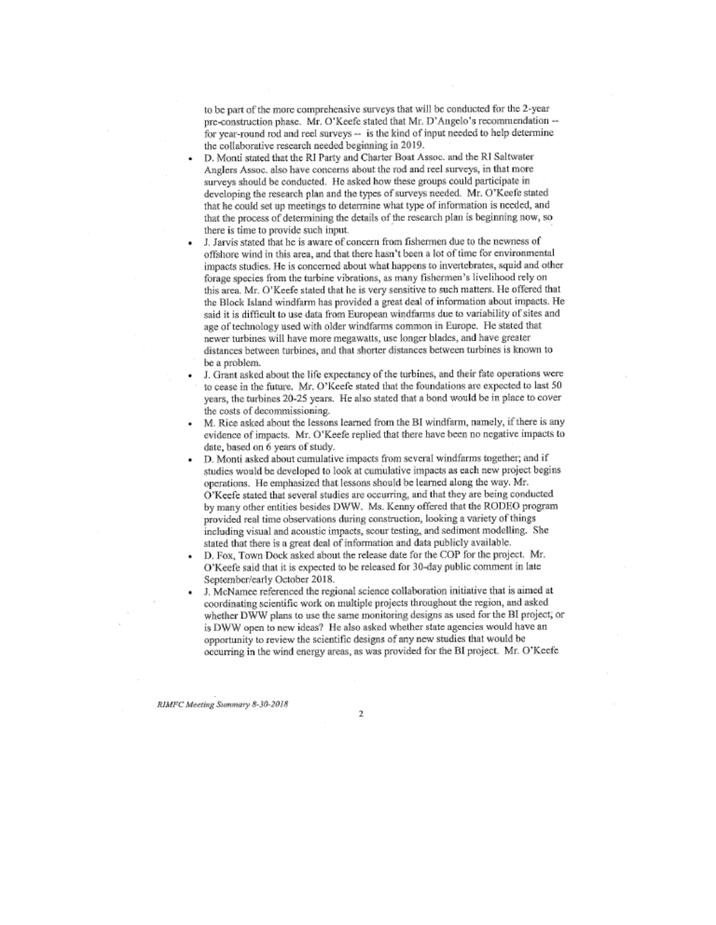to be part of the more comprehensive surveys that will be conducted for the 2-year pre-construction phase. Mr. O'Keefe stated that Mr. D'Angelo's recommendation -for year-round rod and reel surveys -- is the kind of input needed to help determine the collaborative research needed beginning in 2019.

- D. Monti stated that the RI Party and Charter Boat Assoc. and the RI Saltwater Anglers Assoc. also have concerns about the rod and reel surveys, in that more surveys should be conducted. He asked how these groups could participate in developing the research plan and the types of surveys needed. Mr. O'Keefe stated that he could set up meetings to determine what type of information is needed, and that the process of determining the details of the research plan is beginning now, so there is time to provide such input.
- J. Jarvis stated that he is aware of concern from fishermen due to the newness of offshore wind in this area, and that there hasn't been a lot of time for environmental impacts studies. He is concerned about what happens to invertebrates, squid and other forage species from the turbine vibrations, as many fishermen's livelihood rely on this area. Mr. O'Keefe stated that he is very sensitive to such matters. He offered that the Block Island windfarm has provided a great deal of information about impacts. He said it is difficult to use data from European windfarms due to variability of sites and age of technology used with older windfarms common in Europe. He stated that newer turbines will have more megawatts, use longer blades, and have greater distances between turbines, and that shorter distances between turbines is known to be a problem.
- J. Grant asked about the life expectancy of the turbines, and their fate operations were to cease in the future. Mr. O'Keefe stated that the foundations are expected to last 50 years, the turbines 20-25 years. He also stated that a bond would be in place to cover the costs of decommissioning.
- M. Rice asked about the lessons learned from the BI windfarm, namely, if there is any evidence of impacts. Mr. O'Keefe replied that there have been no negative impacts to date, based on 6 years of study.
- D. Monti asked about cumulative impacts from several windfarms together; and if studies would be developed to look at cumulative impacts as each new project begins operations. He emphasized that lessons should be learned along the way. Mr. O'Keefe stated that several studies are occurring, and that they are being conducted by many other entities besides DWW. Ms. Kenny offered that the RODEO program provided real time observations during construction, looking a variety of things including visual and acoustic impacts, scour testing, and sediment modelling. She stated that there is a great deal of information and data publicly available.
- D. Fox, Town Dock asked about the release date for the COP for the project. Mr. O'Keefe said that it is expected to be released for 30-day public comment in late September/early October 2018.
- J. McNamee referenced the regional science collaboration initiative that is aimed at coordinating scientific work on multiple projects throughout the region, and asked whether DWW plans to use the same monitoring designs as used for the BI project, or is DWW open to new ideas? He also asked whether state agencies would have an opportunity to review the scientific designs of any new studies that would be occurring in the wind energy areas, as was provided for the BI project. Mr. O'Keefe

RIMFC Meeting Summary 8-30-2018

 $\overline{2}$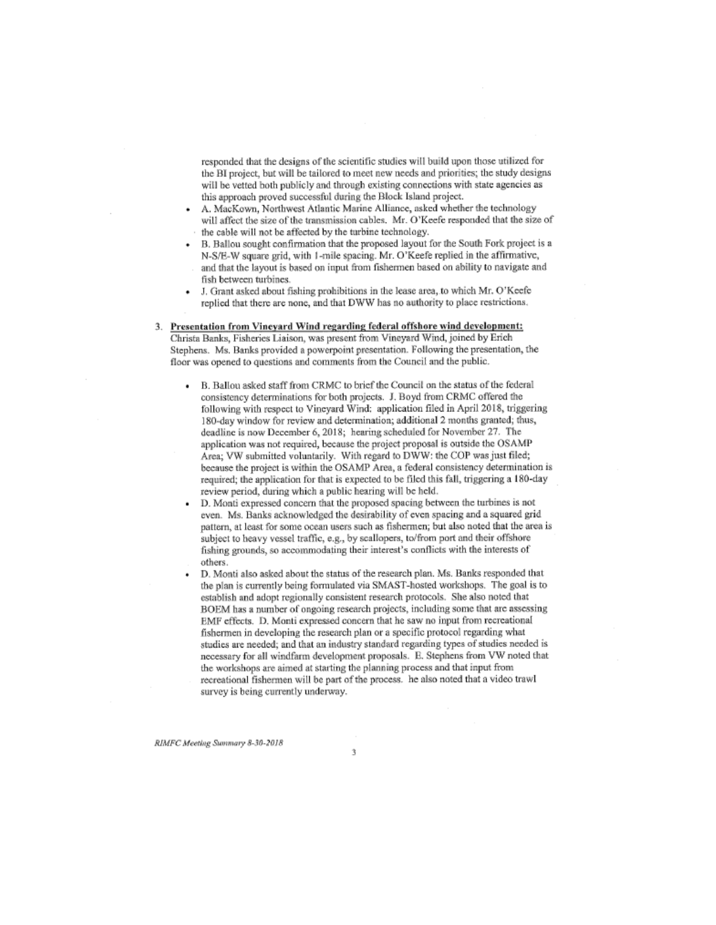responded that the designs of the scientific studies will build upon those utilized for the BI project, but will be tailored to meet new needs and priorities; the study designs will be vetted both publicly and through existing connections with state agencies as this approach proved successful during the Block Island project.

- A. MacKown, Northwest Atlantic Marine Alliance, asked whether the technology will affect the size of the transmission cables. Mr. O'Keefe responded that the size of the cable will not be affected by the turbine technology.
- B. Ballou sought confirmation that the proposed layout for the South Fork project is a N-S/E-W square grid, with 1-mile spacing. Mr. O'Keefe replied in the affirmative, and that the layout is based on input from fishermen based on ability to navigate and fish between turbines.
- J. Grant asked about fishing prohibitions in the lease area, to which Mr. O'Keefe  $\bullet$ replied that there are none, and that DWW has no authority to place restrictions.

## 3. Presentation from Vineyard Wind regarding federal offshore wind development: Christa Banks, Fisheries Liaison, was present from Vineyard Wind, joined by Erich

Stephens. Ms. Banks provided a powerpoint presentation. Following the presentation, the floor was opened to questions and comments from the Council and the public.

- . B. Ballou asked staff from CRMC to brief the Council on the status of the federal consistency determinations for both projects. J. Boyd from CRMC offered the following with respect to Vineyard Wind: application filed in April 2018, triggering 180-day window for review and determination; additional 2 months granted; thus, deadline is now December 6, 2018; hearing scheduled for November 27. The application was not required, because the project proposal is outside the OSAMP Area; VW submitted voluntarily. With regard to DWW: the COP was just filed; because the project is within the OSAMP Area, a federal consistency determination is required; the application for that is expected to be filed this fall, triggering a 180-day review period, during which a public hearing will be held.
- D. Monti expressed concern that the proposed spacing between the turbines is not even. Ms. Banks acknowledged the desirability of even spacing and a squared grid pattern, at least for some ocean users such as fishermen; but also noted that the area is subject to heavy vessel traffic, e.g., by scallopers, to/from port and their offshore fishing grounds, so accommodating their interest's conflicts with the interests of others.
- D. Monti also asked about the status of the research plan. Ms. Banks responded that the plan is currently being formulated via SMAST-hosted workshops. The goal is to establish and adopt regionally consistent research protocols. She also noted that BOEM has a number of ongoing research projects, including some that are assessing EMF effects. D. Monti expressed concern that he saw no input from recreational fishermen in developing the research plan or a specific protocol regarding what studies are needed; and that an industry standard regarding types of studies needed is necessary for all windfarm development proposals. E. Stephens from VW noted that the workshops are aimed at starting the planning process and that input from recreational fishermen will be part of the process. he also noted that a video trawl survey is being currently underway.

RIMFC Meeting Summary 8-30-2018